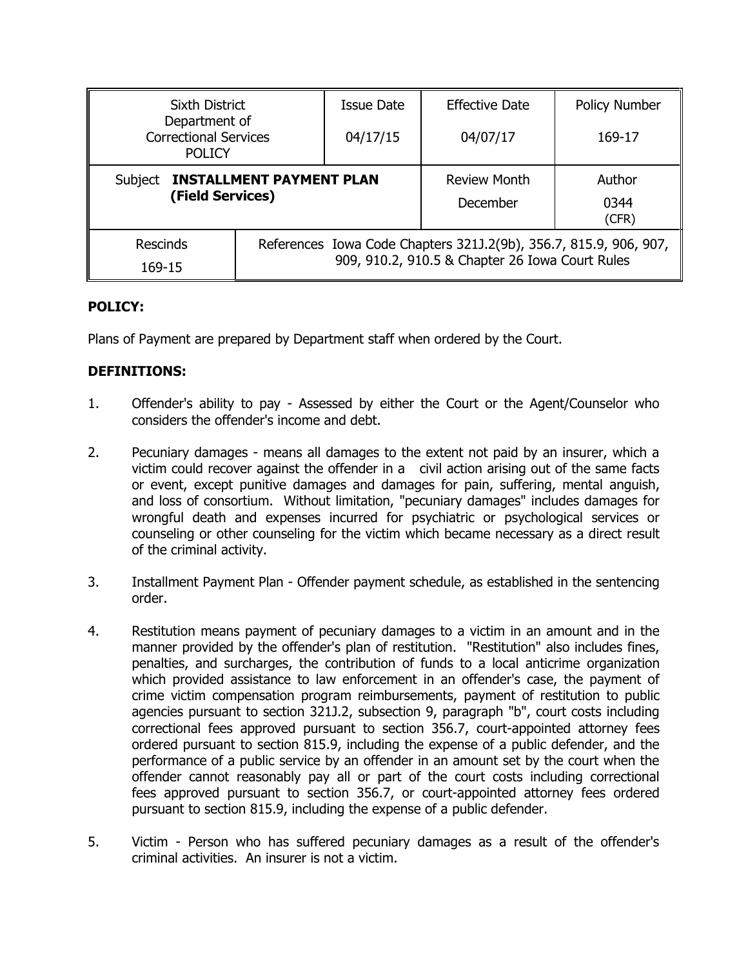| <b>Sixth District</b><br>Department of<br><b>Correctional Services</b><br><b>POLICY</b> |                                                                                                                      | Issue Date | <b>Effective Date</b>           | Policy Number           |
|-----------------------------------------------------------------------------------------|----------------------------------------------------------------------------------------------------------------------|------------|---------------------------------|-------------------------|
|                                                                                         |                                                                                                                      | 04/17/15   | 04/07/17                        | 169-17                  |
| <b>INSTALLMENT PAYMENT PLAN</b><br>Subject<br>(Field Services)                          |                                                                                                                      |            | <b>Review Month</b><br>December | Author<br>0344<br>(CFR) |
| <b>Rescinds</b><br>169-15                                                               | References Iowa Code Chapters 321J.2(9b), 356.7, 815.9, 906, 907,<br>909, 910.2, 910.5 & Chapter 26 Iowa Court Rules |            |                                 |                         |

## **POLICY:**

Plans of Payment are prepared by Department staff when ordered by the Court.

## **DEFINITIONS:**

- 1. Offender's ability to pay Assessed by either the Court or the Agent/Counselor who considers the offender's income and debt.
- 2. Pecuniary damages means all damages to the extent not paid by an insurer, which a victim could recover against the offender in a civil action arising out of the same facts or event, except punitive damages and damages for pain, suffering, mental anguish, and loss of consortium. Without limitation, "pecuniary damages" includes damages for wrongful death and expenses incurred for psychiatric or psychological services or counseling or other counseling for the victim which became necessary as a direct result of the criminal activity.
- 3. Installment Payment Plan Offender payment schedule, as established in the sentencing order.
- 4. Restitution means payment of pecuniary damages to a victim in an amount and in the manner provided by the offender's plan of restitution. "Restitution" also includes fines, penalties, and surcharges, the contribution of funds to a local anticrime organization which provided assistance to law enforcement in an offender's case, the payment of crime victim compensation program reimbursements, payment of restitution to public agencies pursuant to section 321J.2, subsection 9, paragraph "b", court costs including correctional fees approved pursuant to section 356.7, court-appointed attorney fees ordered pursuant to section 815.9, including the expense of a public defender, and the performance of a public service by an offender in an amount set by the court when the offender cannot reasonably pay all or part of the court costs including correctional fees approved pursuant to section 356.7, or court-appointed attorney fees ordered pursuant to section 815.9, including the expense of a public defender.
- 5. Victim Person who has suffered pecuniary damages as a result of the offender's criminal activities. An insurer is not a victim.